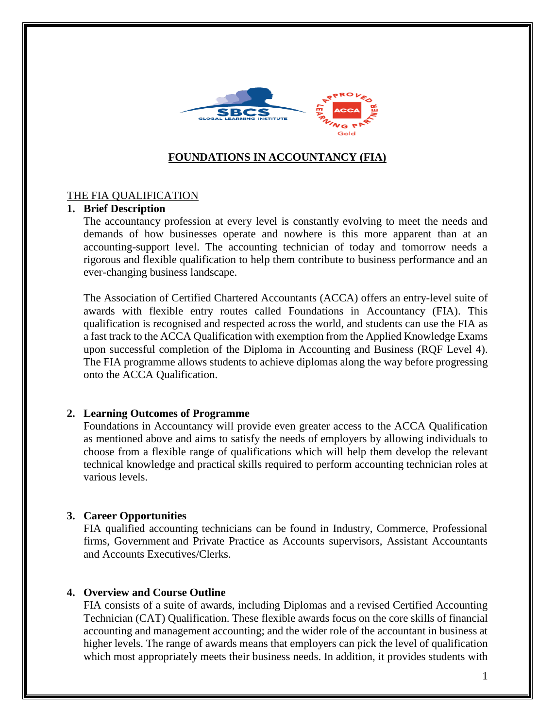

# **FOUNDATIONS IN ACCOUNTANCY (FIA)**

## THE FIA QUALIFICATION

## **1. Brief Description**

The accountancy profession at every level is constantly evolving to meet the needs and demands of how businesses operate and nowhere is this more apparent than at an accounting-support level. The accounting technician of today and tomorrow needs a rigorous and flexible qualification to help them contribute to business performance and an ever-changing business landscape.

The Association of Certified Chartered Accountants (ACCA) offers an entry-level suite of awards with flexible entry routes called Foundations in Accountancy (FIA). This qualification is recognised and respected across the world, and students can use the FIA as a fast track to the ACCA Qualification with exemption from the Applied Knowledge Exams upon successful completion of the Diploma in Accounting and Business (RQF Level 4). The FIA programme allows students to achieve diplomas along the way before progressing onto the ACCA Qualification.

#### **2. Learning Outcomes of Programme**

Foundations in Accountancy will provide even greater access to the ACCA Qualification as mentioned above and aims to satisfy the needs of employers by allowing individuals to choose from a flexible range of qualifications which will help them develop the relevant technical knowledge and practical skills required to perform accounting technician roles at various levels.

#### **3. Career Opportunities**

FIA qualified accounting technicians can be found in Industry, Commerce, Professional firms, Government and Private Practice as Accounts supervisors, Assistant Accountants and Accounts Executives/Clerks.

#### **4. Overview and Course Outline**

FIA consists of a suite of awards, including Diplomas and a revised Certified Accounting Technician (CAT) Qualification. These flexible awards focus on the core skills of financial accounting and management accounting; and the wider role of the accountant in business at higher levels. The range of awards means that employers can pick the level of qualification which most appropriately meets their business needs. In addition, it provides students with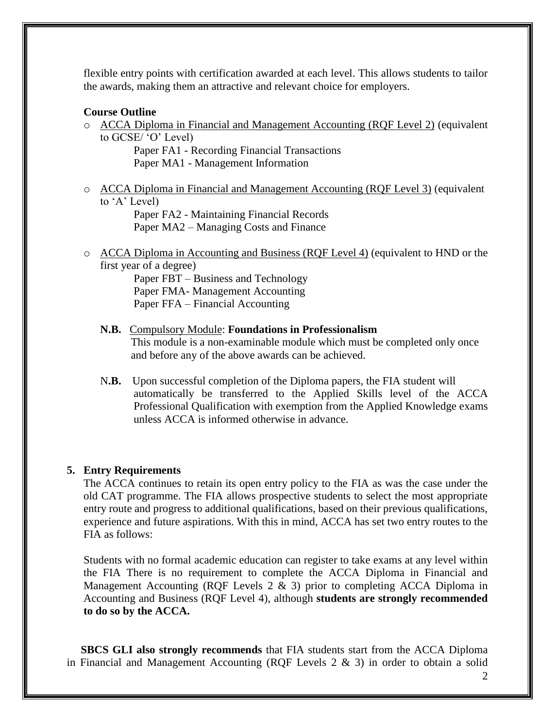flexible entry points with certification awarded at each level. This allows students to tailor the awards, making them an attractive and relevant choice for employers.

#### **Course Outline**

o ACCA Diploma in Financial and Management Accounting (RQF Level 2) (equivalent to GCSE/ 'O' Level)

 Paper FA1 - Recording Financial Transactions Paper MA1 - Management Information

o ACCA Diploma in Financial and Management Accounting (RQF Level 3) (equivalent to 'A' Level)

Paper FA2 - Maintaining Financial Records Paper MA2 – Managing Costs and Finance

o ACCA Diploma in Accounting and Business (RQF Level 4) (equivalent to HND or the first year of a degree)

Paper FBT – Business and Technology Paper FMA- Management Accounting Paper FFA – Financial Accounting

- **N.B.** Compulsory Module: **Foundations in Professionalism** This module is a non-examinable module which must be completed only once and before any of the above awards can be achieved.
- N**.B.** Upon successful completion of the Diploma papers, the FIA student will automatically be transferred to the Applied Skills level of the ACCA Professional Qualification with exemption from the Applied Knowledge exams unless ACCA is informed otherwise in advance.

#### **5. Entry Requirements**

The ACCA continues to retain its open entry policy to the FIA as was the case under the old CAT programme. The FIA allows prospective students to select the most appropriate entry route and progress to additional qualifications, based on their previous qualifications, experience and future aspirations. With this in mind, ACCA has set two entry routes to the FIA as follows:

Students with no formal academic education can register to take exams at any level within the FIA There is no requirement to complete the ACCA Diploma in Financial and Management Accounting (RQF Levels 2 & 3) prior to completing ACCA Diploma in Accounting and Business (RQF Level 4), although **students are strongly recommended to do so by the ACCA.** 

 **SBCS GLI also strongly recommends** that FIA students start from the ACCA Diploma in Financial and Management Accounting (RQF Levels 2 & 3) in order to obtain a solid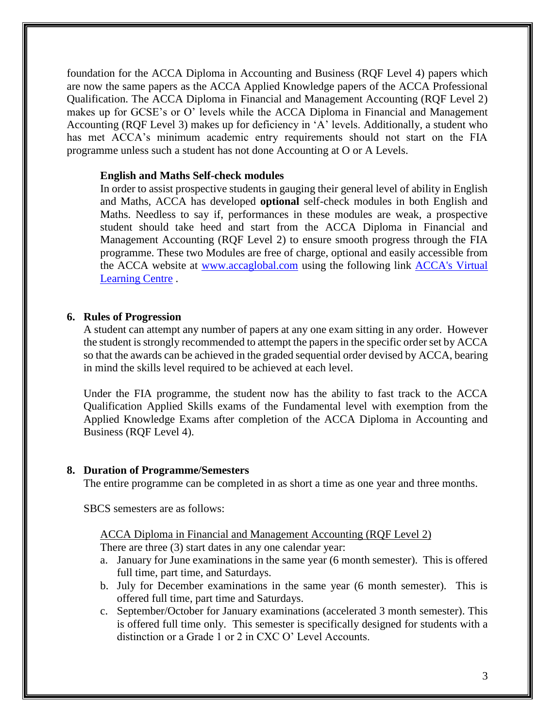foundation for the ACCA Diploma in Accounting and Business (RQF Level 4) papers which are now the same papers as the ACCA Applied Knowledge papers of the ACCA Professional Qualification. The ACCA Diploma in Financial and Management Accounting (RQF Level 2) makes up for GCSE's or O' levels while the ACCA Diploma in Financial and Management Accounting (RQF Level 3) makes up for deficiency in 'A' levels. Additionally, a student who has met ACCA's minimum academic entry requirements should not start on the FIA programme unless such a student has not done Accounting at O or A Levels.

#### **English and Maths Self-check modules**

In order to assist prospective students in gauging their general level of ability in English and Maths, ACCA has developed **optional** self-check modules in both English and Maths. Needless to say if, performances in these modules are weak, a prospective student should take heed and start from the ACCA Diploma in Financial and Management Accounting (RQF Level 2) to ensure smooth progress through the FIA programme. These two Modules are free of charge, optional and easily accessible from the ACCA website at [www.accaglobal.com](http://www.accaglobal.com/) using the following link [ACCA's Virtual](http://studentvirtuallearn.accaglobal.com/)  [Learning Centre](http://studentvirtuallearn.accaglobal.com/) .

#### **6. Rules of Progression**

A student can attempt any number of papers at any one exam sitting in any order. However the student is strongly recommended to attempt the papers in the specific order set by ACCA so that the awards can be achieved in the graded sequential order devised by ACCA, bearing in mind the skills level required to be achieved at each level.

Under the FIA programme, the student now has the ability to fast track to the ACCA Qualification Applied Skills exams of the Fundamental level with exemption from the Applied Knowledge Exams after completion of the ACCA Diploma in Accounting and Business (RQF Level 4).

#### **8. Duration of Programme/Semesters**

The entire programme can be completed in as short a time as one year and three months.

SBCS semesters are as follows:

# ACCA Diploma in Financial and Management Accounting (RQF Level 2)

There are three (3) start dates in any one calendar year:

- a. January for June examinations in the same year (6 month semester). This is offered full time, part time, and Saturdays.
- b. July for December examinations in the same year (6 month semester). This is offered full time, part time and Saturdays.
- c. September/October for January examinations (accelerated 3 month semester). This is offered full time only. This semester is specifically designed for students with a distinction or a Grade 1 or 2 in CXC O' Level Accounts.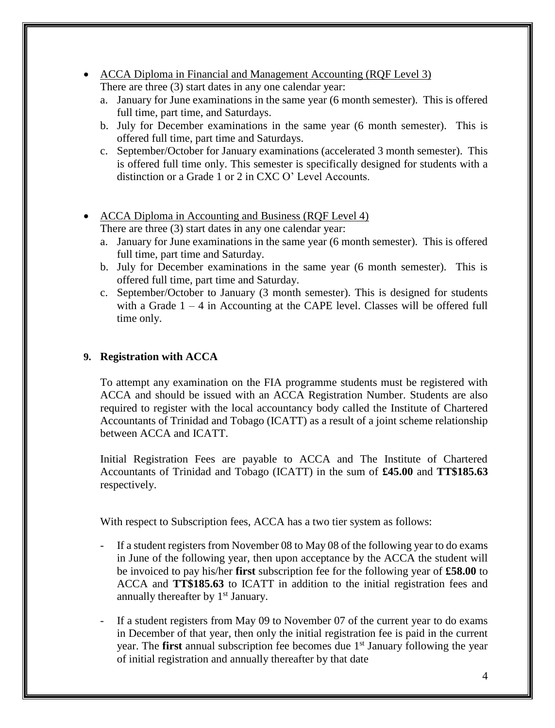- ACCA Diploma in Financial and Management Accounting (ROF Level 3) There are three (3) start dates in any one calendar year:
	- a. January for June examinations in the same year (6 month semester). This is offered full time, part time, and Saturdays.
	- b. July for December examinations in the same year (6 month semester). This is offered full time, part time and Saturdays.
	- c. September/October for January examinations (accelerated 3 month semester). This is offered full time only. This semester is specifically designed for students with a distinction or a Grade 1 or 2 in CXC O' Level Accounts.
- ACCA Diploma in Accounting and Business (RQF Level 4) There are three (3) start dates in any one calendar year:
	- a. January for June examinations in the same year (6 month semester). This is offered full time, part time and Saturday.
	- b. July for December examinations in the same year (6 month semester). This is offered full time, part time and Saturday.
	- c. September/October to January (3 month semester). This is designed for students with a Grade  $1 - 4$  in Accounting at the CAPE level. Classes will be offered full time only.

## **9. Registration with ACCA**

To attempt any examination on the FIA programme students must be registered with ACCA and should be issued with an ACCA Registration Number. Students are also required to register with the local accountancy body called the Institute of Chartered Accountants of Trinidad and Tobago (ICATT) as a result of a joint scheme relationship between ACCA and ICATT.

Initial Registration Fees are payable to ACCA and The Institute of Chartered Accountants of Trinidad and Tobago (ICATT) in the sum of **£45.00** and **TT\$185.63** respectively.

With respect to Subscription fees, ACCA has a two tier system as follows:

- If a student registers from November 08 to May 08 of the following year to do exams in June of the following year, then upon acceptance by the ACCA the student will be invoiced to pay his/her **first** subscription fee for the following year of **£58.00** to ACCA and **TT\$185.63** to ICATT in addition to the initial registration fees and annually thereafter by  $1<sup>st</sup>$  January.
- If a student registers from May 09 to November 07 of the current year to do exams in December of that year, then only the initial registration fee is paid in the current year. The **first** annual subscription fee becomes due 1st January following the year of initial registration and annually thereafter by that date